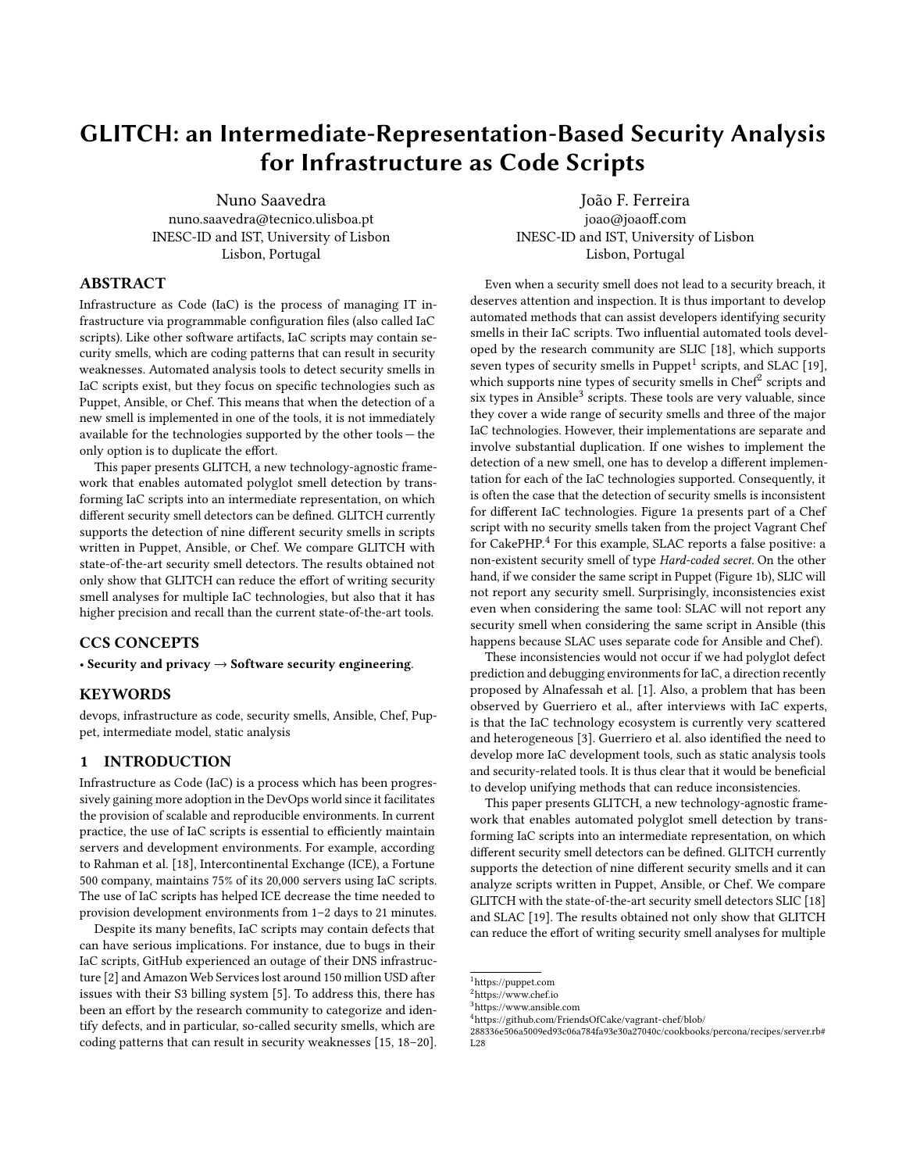# GLITCH: an Intermediate-Representation-Based Security Analysis for Infrastructure as Code Scripts

Nuno Saavedra nuno.saavedra@tecnico.ulisboa.pt INESC-ID and IST, University of Lisbon Lisbon, Portugal

# ABSTRACT

Infrastructure as Code (IaC) is the process of managing IT infrastructure via programmable configuration files (also called IaC scripts). Like other software artifacts, IaC scripts may contain security smells, which are coding patterns that can result in security weaknesses. Automated analysis tools to detect security smells in IaC scripts exist, but they focus on specific technologies such as Puppet, Ansible, or Chef. This means that when the detection of a new smell is implemented in one of the tools, it is not immediately available for the technologies supported by the other tools — the only option is to duplicate the effort.

This paper presents GLITCH, a new technology-agnostic framework that enables automated polyglot smell detection by transforming IaC scripts into an intermediate representation, on which different security smell detectors can be defined. GLITCH currently supports the detection of nine different security smells in scripts written in Puppet, Ansible, or Chef. We compare GLITCH with state-of-the-art security smell detectors. The results obtained not only show that GLITCH can reduce the effort of writing security smell analyses for multiple IaC technologies, but also that it has higher precision and recall than the current state-of-the-art tools.

# CCS CONCEPTS

• Security and privacy  $\rightarrow$  Software security engineering.

# KEYWORDS

devops, infrastructure as code, security smells, Ansible, Chef, Puppet, intermediate model, static analysis

# 1 INTRODUCTION

Infrastructure as Code (IaC) is a process which has been progressively gaining more adoption in the DevOps world since it facilitates the provision of scalable and reproducible environments. In current practice, the use of IaC scripts is essential to efficiently maintain servers and development environments. For example, according to Rahman et al. [\[18\]](#page-10-0), Intercontinental Exchange (ICE), a Fortune 500 company, maintains 75% of its 20,000 servers using IaC scripts. The use of IaC scripts has helped ICE decrease the time needed to provision development environments from 1–2 days to 21 minutes.

Despite its many benefits, IaC scripts may contain defects that can have serious implications. For instance, due to bugs in their IaC scripts, GitHub experienced an outage of their DNS infrastructure [\[2\]](#page-10-1) and Amazon Web Services lost around 150 million USD after issues with their S3 billing system [\[5\]](#page-10-2). To address this, there has been an effort by the research community to categorize and identify defects, and in particular, so-called security smells, which are coding patterns that can result in security weaknesses [\[15,](#page-10-3) [18–](#page-10-0)[20\]](#page-10-4).

João F. Ferreira joao@joaoff.com INESC-ID and IST, University of Lisbon Lisbon, Portugal

Even when a security smell does not lead to a security breach, it deserves attention and inspection. It is thus important to develop automated methods that can assist developers identifying security smells in their IaC scripts. Two influential automated tools developed by the research community are SLIC [\[18\]](#page-10-0), which supports seven types of security smells in Puppet<sup>[1](#page-0-0)</sup> scripts, and SLAC [\[19\]](#page-10-5), which supports nine types of security smells in Chef<sup>[2](#page-0-1)</sup> scripts and six types in Ansible<sup>[3](#page-0-2)</sup> scripts. These tools are very valuable, since they cover a wide range of security smells and three of the major IaC technologies. However, their implementations are separate and involve substantial duplication. If one wishes to implement the detection of a new smell, one has to develop a different implementation for each of the IaC technologies supported. Consequently, it is often the case that the detection of security smells is inconsistent for different IaC technologies. Figure [1a](#page-1-0) presents part of a Chef script with no security smells taken from the project Vagrant Chef for CakePHP.<sup>[4](#page-0-3)</sup> For this example, SLAC reports a false positive: a non-existent security smell of type Hard-coded secret. On the other hand, if we consider the same script in Puppet (Figure [1b\)](#page-1-0), SLIC will not report any security smell. Surprisingly, inconsistencies exist even when considering the same tool: SLAC will not report any security smell when considering the same script in Ansible (this happens because SLAC uses separate code for Ansible and Chef).

These inconsistencies would not occur if we had polyglot defect prediction and debugging environments for IaC, a direction recently proposed by Alnafessah et al. [\[1\]](#page-10-6). Also, a problem that has been observed by Guerriero et al., after interviews with IaC experts, is that the IaC technology ecosystem is currently very scattered and heterogeneous [\[3\]](#page-10-7). Guerriero et al. also identified the need to develop more IaC development tools, such as static analysis tools and security-related tools. It is thus clear that it would be beneficial to develop unifying methods that can reduce inconsistencies.

This paper presents GLITCH, a new technology-agnostic framework that enables automated polyglot smell detection by transforming IaC scripts into an intermediate representation, on which different security smell detectors can be defined. GLITCH currently supports the detection of nine different security smells and it can analyze scripts written in Puppet, Ansible, or Chef. We compare GLITCH with the state-of-the-art security smell detectors SLIC [\[18\]](#page-10-0) and SLAC [\[19\]](#page-10-5). The results obtained not only show that GLITCH can reduce the effort of writing security smell analyses for multiple

<span id="page-0-0"></span> $^{\rm 1}$  <https://puppet.com>

<span id="page-0-1"></span><sup>2</sup><https://www.chef.io>

<span id="page-0-2"></span><sup>3</sup><https://www.ansible.com>

<span id="page-0-3"></span><sup>4</sup>[https://github.com/FriendsOfCake/vagrant-chef/blob/](https://github.com/FriendsOfCake/vagrant-chef/blob/288336e506a5009ed93c06a784fa93e30a27040c/cookbooks/percona/recipes/server.rb#L28)

[<sup>288336</sup>e506a5009ed93c06a784fa93e30a27040c/cookbooks/percona/recipes/server.rb#](https://github.com/FriendsOfCake/vagrant-chef/blob/288336e506a5009ed93c06a784fa93e30a27040c/cookbooks/percona/recipes/server.rb#L28) [L28](https://github.com/FriendsOfCake/vagrant-chef/blob/288336e506a5009ed93c06a784fa93e30a27040c/cookbooks/percona/recipes/server.rb#L28)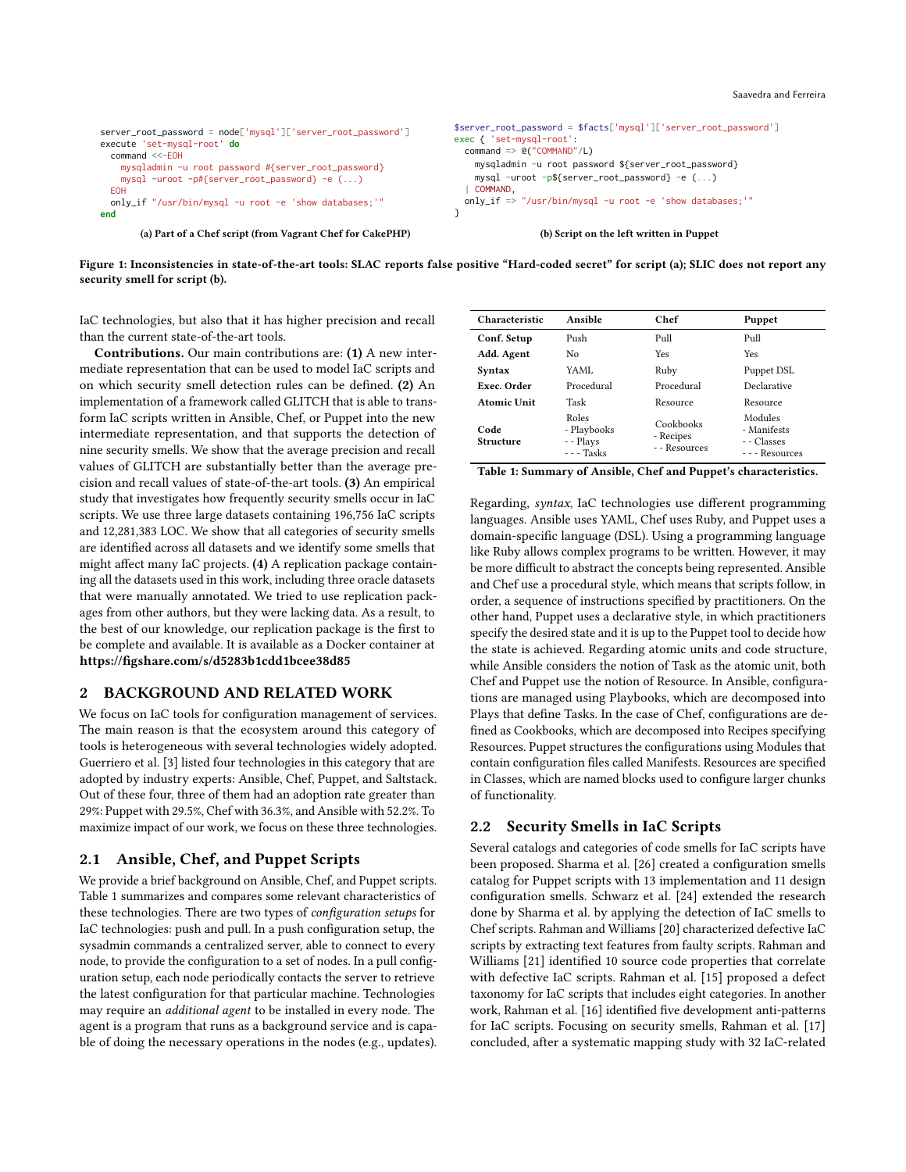<span id="page-1-0"></span>

| server_root_password = node['mysql']['server_root_password']<br>execute 'set-mysql-root' do<br>$command < <-EOH$<br>mysqladmin -u root password #{server_root_password}<br>mysql -uroot -p#{server_root_password} -e ()<br><b>EOH</b><br>only_if "/usr/bin/mysql -u root -e 'show databases;'"<br>end | \$server_root_password = \$facts['mysql']['server_root_password']<br>exec { 'set-mysql-root':<br>command $\Rightarrow$ @("COMMAND"/L)<br>mysqladmin -u root password \${server_root_password}<br>mysql -uroot -p\${server_root_password} -e $( \ldots )$<br>COMMAND.<br>only_if => "/usr/bin/mysql -u root -e 'show databases;'" |
|-------------------------------------------------------------------------------------------------------------------------------------------------------------------------------------------------------------------------------------------------------------------------------------------------------|----------------------------------------------------------------------------------------------------------------------------------------------------------------------------------------------------------------------------------------------------------------------------------------------------------------------------------|
| (a) Part of a Chef script (from Vagrant Chef for CakePHP)                                                                                                                                                                                                                                             | (b) Script on the left written in Puppet                                                                                                                                                                                                                                                                                         |

Figure 1: Inconsistencies in state-of-the-art tools: SLAC reports false positive "Hard-coded secret" for script (a); SLIC does not report any security smell for script (b).

IaC technologies, but also that it has higher precision and recall than the current state-of-the-art tools.

Contributions. Our main contributions are: (1) A new intermediate representation that can be used to model IaC scripts and on which security smell detection rules can be defined. (2) An implementation of a framework called GLITCH that is able to transform IaC scripts written in Ansible, Chef, or Puppet into the new intermediate representation, and that supports the detection of nine security smells. We show that the average precision and recall values of GLITCH are substantially better than the average precision and recall values of state-of-the-art tools. (3) An empirical study that investigates how frequently security smells occur in IaC scripts. We use three large datasets containing 196,756 IaC scripts and 12,281,383 LOC. We show that all categories of security smells are identified across all datasets and we identify some smells that might affect many IaC projects. (4) A replication package containing all the datasets used in this work, including three oracle datasets that were manually annotated. We tried to use replication packages from other authors, but they were lacking data. As a result, to the best of our knowledge, our replication package is the first to be complete and available. It is available as a Docker container at <https://figshare.com/s/d5283b1cdd1bcee38d85>

# 2 BACKGROUND AND RELATED WORK

We focus on IaC tools for configuration management of services. The main reason is that the ecosystem around this category of tools is heterogeneous with several technologies widely adopted. Guerriero et al. [\[3\]](#page-10-7) listed four technologies in this category that are adopted by industry experts: Ansible, Chef, Puppet, and Saltstack. Out of these four, three of them had an adoption rate greater than 29%: Puppet with 29.5%, Chef with 36.3%, and Ansible with 52.2%. To maximize impact of our work, we focus on these three technologies.

# 2.1 Ansible, Chef, and Puppet Scripts

We provide a brief background on Ansible, Chef, and Puppet scripts. Table [1](#page-1-1) summarizes and compares some relevant characteristics of these technologies. There are two types of configuration setups for IaC technologies: push and pull. In a push configuration setup, the sysadmin commands a centralized server, able to connect to every node, to provide the configuration to a set of nodes. In a pull configuration setup, each node periodically contacts the server to retrieve the latest configuration for that particular machine. Technologies may require an additional agent to be installed in every node. The agent is a program that runs as a background service and is capable of doing the necessary operations in the nodes (e.g., updates).

<span id="page-1-1"></span>

| Characteristic           | Ansible                                         | Chef                                    | Puppet                                                   |
|--------------------------|-------------------------------------------------|-----------------------------------------|----------------------------------------------------------|
| Conf. Setup              | Push                                            | Pull                                    | Pull                                                     |
| Add. Agent               | No.                                             | Yes                                     | Yes                                                      |
| Syntax                   | YAML.                                           | Ruby                                    | Puppet DSL                                               |
| Exec. Order              | Procedural                                      | Procedural                              | Declarative                                              |
| <b>Atomic Unit</b>       | Task                                            | Resource                                | Resource                                                 |
| Code<br><b>Structure</b> | Roles<br>- Playbooks<br>- - Plays<br>$--$ Tasks | Cookbooks<br>- Recipes<br>- - Resources | Modules<br>- Manifests<br>- - Classes<br>- - - Resources |

Table 1: Summary of Ansible, Chef and Puppet's characteristics.

Regarding, syntax, IaC technologies use different programming languages. Ansible uses YAML, Chef uses Ruby, and Puppet uses a domain-specific language (DSL). Using a programming language like Ruby allows complex programs to be written. However, it may be more difficult to abstract the concepts being represented. Ansible and Chef use a procedural style, which means that scripts follow, in order, a sequence of instructions specified by practitioners. On the other hand, Puppet uses a declarative style, in which practitioners specify the desired state and it is up to the Puppet tool to decide how the state is achieved. Regarding atomic units and code structure, while Ansible considers the notion of Task as the atomic unit, both Chef and Puppet use the notion of Resource. In Ansible, configurations are managed using Playbooks, which are decomposed into Plays that define Tasks. In the case of Chef, configurations are defined as Cookbooks, which are decomposed into Recipes specifying Resources. Puppet structures the configurations using Modules that contain configuration files called Manifests. Resources are specified in Classes, which are named blocks used to configure larger chunks of functionality.

# 2.2 Security Smells in IaC Scripts

Several catalogs and categories of code smells for IaC scripts have been proposed. Sharma et al. [\[26\]](#page-10-8) created a configuration smells catalog for Puppet scripts with 13 implementation and 11 design configuration smells. Schwarz et al. [\[24\]](#page-10-9) extended the research done by Sharma et al. by applying the detection of IaC smells to Chef scripts. Rahman and Williams [\[20\]](#page-10-4) characterized defective IaC scripts by extracting text features from faulty scripts. Rahman and Williams [\[21\]](#page-10-10) identified 10 source code properties that correlate with defective IaC scripts. Rahman et al. [\[15\]](#page-10-3) proposed a defect taxonomy for IaC scripts that includes eight categories. In another work, Rahman et al. [\[16\]](#page-10-11) identified five development anti-patterns for IaC scripts. Focusing on security smells, Rahman et al. [\[17\]](#page-10-12) concluded, after a systematic mapping study with 32 IaC-related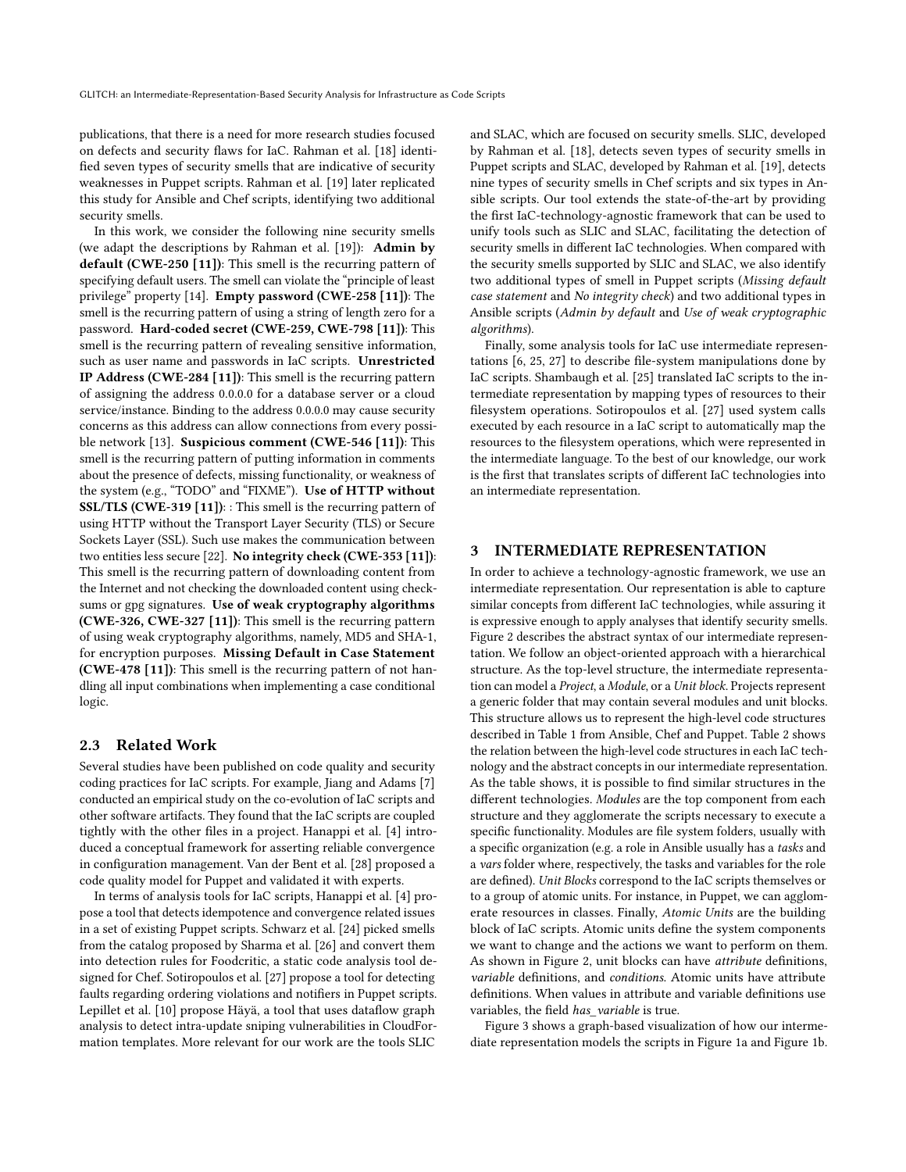publications, that there is a need for more research studies focused on defects and security flaws for IaC. Rahman et al. [\[18\]](#page-10-0) identified seven types of security smells that are indicative of security weaknesses in Puppet scripts. Rahman et al. [\[19\]](#page-10-5) later replicated this study for Ansible and Chef scripts, identifying two additional security smells.

In this work, we consider the following nine security smells (we adapt the descriptions by Rahman et al. [\[19\]](#page-10-5)): Admin by default (CWE-250 [\[11\]](#page-10-13)): This smell is the recurring pattern of specifying default users. The smell can violate the "principle of least privilege" property [\[14\]](#page-10-14). Empty password (CWE-258 [\[11\]](#page-10-13)): The smell is the recurring pattern of using a string of length zero for a password. Hard-coded secret (CWE-259, CWE-798 [\[11\]](#page-10-13)): This smell is the recurring pattern of revealing sensitive information, such as user name and passwords in IaC scripts. Unrestricted IP Address (CWE-284 [\[11\]](#page-10-13)): This smell is the recurring pattern of assigning the address 0.0.0.0 for a database server or a cloud service/instance. Binding to the address 0.0.0.0 may cause security concerns as this address can allow connections from every possible network [\[13\]](#page-10-15). Suspicious comment (CWE-546 [\[11\]](#page-10-13)): This smell is the recurring pattern of putting information in comments about the presence of defects, missing functionality, or weakness of the system (e.g., "TODO" and "FIXME"). Use of HTTP without SSL/TLS (CWE-319 [\[11\]](#page-10-13)): : This smell is the recurring pattern of using HTTP without the Transport Layer Security (TLS) or Secure Sockets Layer (SSL). Such use makes the communication between two entities less secure [\[22\]](#page-10-16). No integrity check (CWE-353 [\[11\]](#page-10-13)): This smell is the recurring pattern of downloading content from the Internet and not checking the downloaded content using checksums or gpg signatures. Use of weak cryptography algorithms (CWE-326, CWE-327 [\[11\]](#page-10-13)): This smell is the recurring pattern of using weak cryptography algorithms, namely, MD5 and SHA-1, for encryption purposes. Missing Default in Case Statement (CWE-478 [\[11\]](#page-10-13)): This smell is the recurring pattern of not handling all input combinations when implementing a case conditional logic.

#### 2.3 Related Work

Several studies have been published on code quality and security coding practices for IaC scripts. For example, Jiang and Adams [\[7\]](#page-10-17) conducted an empirical study on the co-evolution of IaC scripts and other software artifacts. They found that the IaC scripts are coupled tightly with the other files in a project. Hanappi et al. [\[4\]](#page-10-18) introduced a conceptual framework for asserting reliable convergence in configuration management. Van der Bent et al. [\[28\]](#page-10-19) proposed a code quality model for Puppet and validated it with experts.

In terms of analysis tools for IaC scripts, Hanappi et al. [\[4\]](#page-10-18) propose a tool that detects idempotence and convergence related issues in a set of existing Puppet scripts. Schwarz et al. [\[24\]](#page-10-9) picked smells from the catalog proposed by Sharma et al. [\[26\]](#page-10-8) and convert them into detection rules for Foodcritic, a static code analysis tool designed for Chef. Sotiropoulos et al. [\[27\]](#page-10-20) propose a tool for detecting faults regarding ordering violations and notifiers in Puppet scripts. Lepillet et al. [\[10\]](#page-10-21) propose Häyä, a tool that uses dataflow graph analysis to detect intra-update sniping vulnerabilities in CloudFormation templates. More relevant for our work are the tools SLIC

and SLAC, which are focused on security smells. SLIC, developed by Rahman et al. [\[18\]](#page-10-0), detects seven types of security smells in Puppet scripts and SLAC, developed by Rahman et al. [\[19\]](#page-10-5), detects nine types of security smells in Chef scripts and six types in Ansible scripts. Our tool extends the state-of-the-art by providing the first IaC-technology-agnostic framework that can be used to unify tools such as SLIC and SLAC, facilitating the detection of security smells in different IaC technologies. When compared with the security smells supported by SLIC and SLAC, we also identify two additional types of smell in Puppet scripts (Missing default case statement and No integrity check) and two additional types in Ansible scripts (Admin by default and Use of weak cryptographic algorithms).

Finally, some analysis tools for IaC use intermediate representations [\[6,](#page-10-22) [25,](#page-10-23) [27\]](#page-10-20) to describe file-system manipulations done by IaC scripts. Shambaugh et al. [\[25\]](#page-10-23) translated IaC scripts to the intermediate representation by mapping types of resources to their filesystem operations. Sotiropoulos et al. [\[27\]](#page-10-20) used system calls executed by each resource in a IaC script to automatically map the resources to the filesystem operations, which were represented in the intermediate language. To the best of our knowledge, our work is the first that translates scripts of different IaC technologies into an intermediate representation.

#### 3 INTERMEDIATE REPRESENTATION

In order to achieve a technology-agnostic framework, we use an intermediate representation. Our representation is able to capture similar concepts from different IaC technologies, while assuring it is expressive enough to apply analyses that identify security smells. Figure [2](#page-3-0) describes the abstract syntax of our intermediate representation. We follow an object-oriented approach with a hierarchical structure. As the top-level structure, the intermediate representation can model a Project, a Module, or a Unit block. Projects represent a generic folder that may contain several modules and unit blocks. This structure allows us to represent the high-level code structures described in Table [1](#page-1-1) from Ansible, Chef and Puppet. Table [2](#page-3-1) shows the relation between the high-level code structures in each IaC technology and the abstract concepts in our intermediate representation. As the table shows, it is possible to find similar structures in the different technologies. Modules are the top component from each structure and they agglomerate the scripts necessary to execute a specific functionality. Modules are file system folders, usually with a specific organization (e.g. a role in Ansible usually has a tasks and a vars folder where, respectively, the tasks and variables for the role are defined). Unit Blocks correspond to the IaC scripts themselves or to a group of atomic units. For instance, in Puppet, we can agglomerate resources in classes. Finally, Atomic Units are the building block of IaC scripts. Atomic units define the system components we want to change and the actions we want to perform on them. As shown in Figure [2,](#page-3-0) unit blocks can have attribute definitions, variable definitions, and conditions. Atomic units have attribute definitions. When values in attribute and variable definitions use variables, the field has variable is true.

Figure [3](#page-3-2) shows a graph-based visualization of how our intermediate representation models the scripts in Figure [1a](#page-1-0) and Figure [1b.](#page-1-0)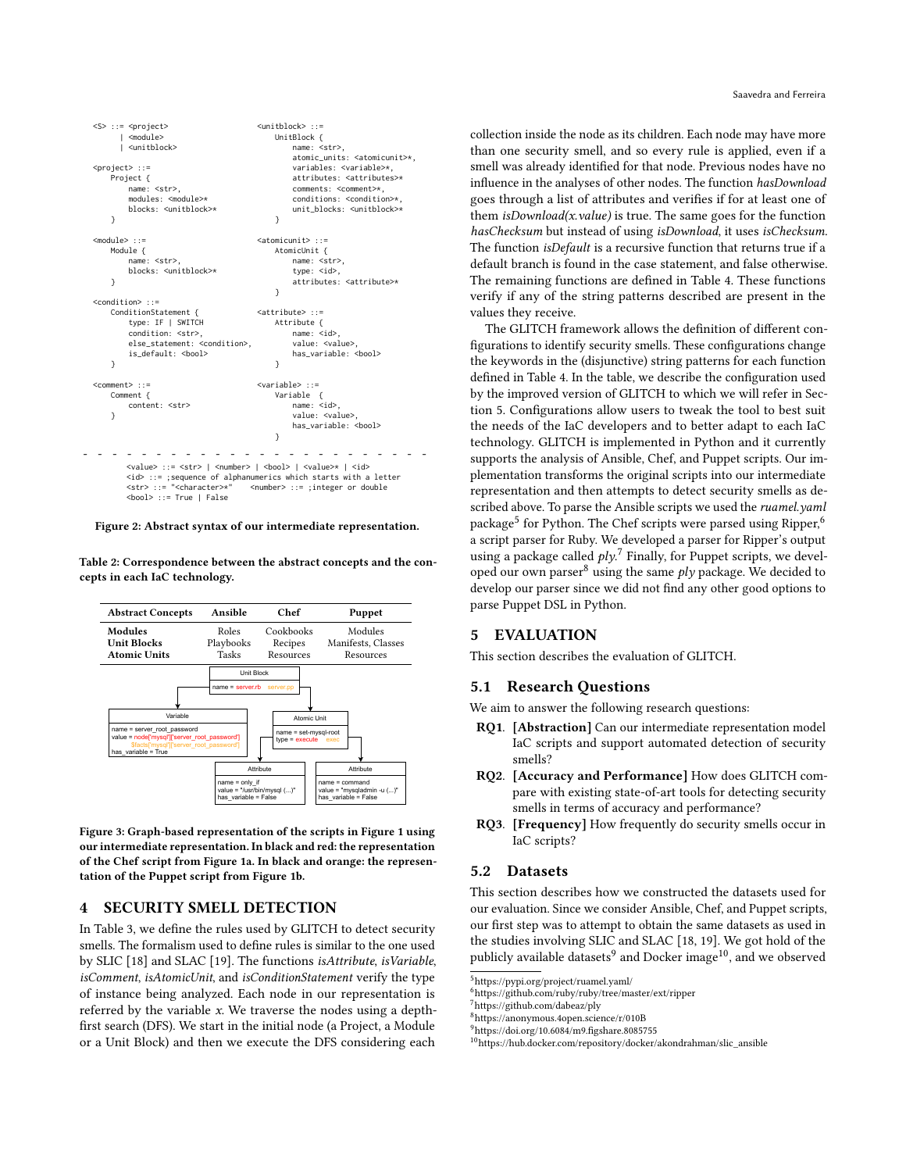```
<S> ::= <project>
           <sub>module</sub></sub>
          | <unitblock>
  <project> ::=
      Project {
           name: <str>,
           modules: <module>*
           blocks: <unitblock>*
      }
  <module> ::=
      Module {
           name: <str>
           blocks: <unitblock>*
       }
  <condition> ::=
      ConditionStatement {
           type: IF | SWITCH
           condition: <str>,
           else_statement: < condition>
           is default: <br/> <br/>bool>
      }
  <comment> ::=
      Comment {
           content: <str>
      }
                                            <unitblock> ::=
                                                 UnitBlock {
                                                     name: <str>
                                                      atomic_units: <atomicunit>*,
                                                      variables: <variable>*,
                                                      attributes: <attributes>*
                                                      comments: <comment>*,
                                                      conditions: <condition>*
                                                      unit blocks: <unitblock>*
                                                 }
                                            <atomicunit> ::=
                                                 AtomicUnit {
                                                      name: <str>,
                                                      type: <id>.
                                                      attributes: <attribute>*
                                                 }
                                             <attribute> ::=
                                                 Attribute {
                                                      name: <id>
                                                      value: <value>,
                                                      has_variable: <br/> <br/>bool>
                                                 }
                                            <variable> ::=
                                                 Variable {
                                                      name: <id>,
                                                      value: <value>
                                                      has_variable: <bool>
                                                 }
- - - - - - - - - - - - - - - - - - - - - - - -
          <value> ::= <str> | <number> | <br/> <br/> <br/> <br/> </alue>* | <id>
           \langle i\phi \rangle ::= ;sequence of alphanumerics which starts with a letter<br>\langle str \rangle ::= "<character>*" <number> ::= ;integer or double
                                           <number> ::= ;integer or double
           <bool> ::= True | False
```
Figure 2: Abstract syntax of our intermediate representation.

<span id="page-3-1"></span>Table 2: Correspondence between the abstract concepts and the concepts in each IaC technology.

<span id="page-3-2"></span>

Figure 3: Graph-based representation of the scripts in Figure [1](#page-1-0) using our intermediate representation. In black and red: the representation of the Chef script from Figure [1a.](#page-1-0) In black and orange: the representation of the Puppet script from Figure [1b.](#page-1-0)

# <span id="page-3-10"></span>4 SECURITY SMELL DETECTION

In Table [3,](#page-4-0) we define the rules used by GLITCH to detect security smells. The formalism used to define rules is similar to the one used by SLIC [\[18\]](#page-10-0) and SLAC [\[19\]](#page-10-5). The functions isAttribute, isVariable, isComment, isAtomicUnit, and isConditionStatement verify the type of instance being analyzed. Each node in our representation is referred by the variable x. We traverse the nodes using a depthfirst search (DFS). We start in the initial node (a Project, a Module or a Unit Block) and then we execute the DFS considering each

collection inside the node as its children. Each node may have more than one security smell, and so every rule is applied, even if a smell was already identified for that node. Previous nodes have no influence in the analyses of other nodes. The function hasDownload goes through a list of attributes and verifies if for at least one of them  $isDownload(x.value)$  is true. The same goes for the function hasChecksum but instead of using isDownload, it uses isChecksum. The function *isDefault* is a recursive function that returns true if a default branch is found in the case statement, and false otherwise. The remaining functions are defined in Table [4.](#page-4-1) These functions verify if any of the string patterns described are present in the values they receive.

The GLITCH framework allows the definition of different configurations to identify security smells. These configurations change the keywords in the (disjunctive) string patterns for each function defined in Table [4.](#page-4-1) In the table, we describe the configuration used by the improved version of GLITCH to which we will refer in Section [5.](#page-3-3) Configurations allow users to tweak the tool to best suit the needs of the IaC developers and to better adapt to each IaC technology. GLITCH is implemented in Python and it currently supports the analysis of Ansible, Chef, and Puppet scripts. Our implementation transforms the original scripts into our intermediate representation and then attempts to detect security smells as described above. To parse the Ansible scripts we used the ruamel.yaml package<sup>[5](#page-3-4)</sup> for Python. The Chef scripts were parsed using Ripper, <sup>[6](#page-3-5)</sup> a script parser for Ruby. We developed a parser for Ripper's output using a package called  $ply$ .<sup>[7](#page-3-6)</sup> Finally, for Puppet scripts, we devel-oped our own parser<sup>[8](#page-3-7)</sup> using the same  $ply$  package. We decided to develop our parser since we did not find any other good options to parse Puppet DSL in Python.

#### <span id="page-3-3"></span>5 EVALUATION

This section describes the evaluation of GLITCH.

# <span id="page-3-12"></span>5.1 Research Questions

We aim to answer the following research questions:

- RQ1. [Abstraction] Can our intermediate representation model IaC scripts and support automated detection of security smells?
- RQ2. [Accuracy and Performance] How does GLITCH compare with existing state-of-art tools for detecting security smells in terms of accuracy and performance?
- RQ3. [Frequency] How frequently do security smells occur in IaC scripts?

# <span id="page-3-11"></span>5.2 Datasets

This section describes how we constructed the datasets used for our evaluation. Since we consider Ansible, Chef, and Puppet scripts, our first step was to attempt to obtain the same datasets as used in the studies involving SLIC and SLAC [\[18,](#page-10-0) [19\]](#page-10-5). We got hold of the publicly available datasets $^9$  $^9$  and Docker image $^{10},$  $^{10},$  $^{10},$  and we observed

<span id="page-3-4"></span><sup>5</sup><https://pypi.org/project/ruamel.yaml/>

<span id="page-3-5"></span><sup>6</sup><https://github.com/ruby/ruby/tree/master/ext/ripper>

<span id="page-3-6"></span><sup>7</sup><https://github.com/dabeaz/ply>

<span id="page-3-7"></span><sup>8</sup><https://anonymous.4open.science/r/010B>

<span id="page-3-8"></span> $9$ <https://doi.org/10.6084/m9.figshare.8085755>

<span id="page-3-9"></span><sup>10</sup>[https://hub.docker.com/repository/docker/akondrahman/slic\\_ansible](https://hub.docker.com/repository/docker/akondrahman/slic_ansible)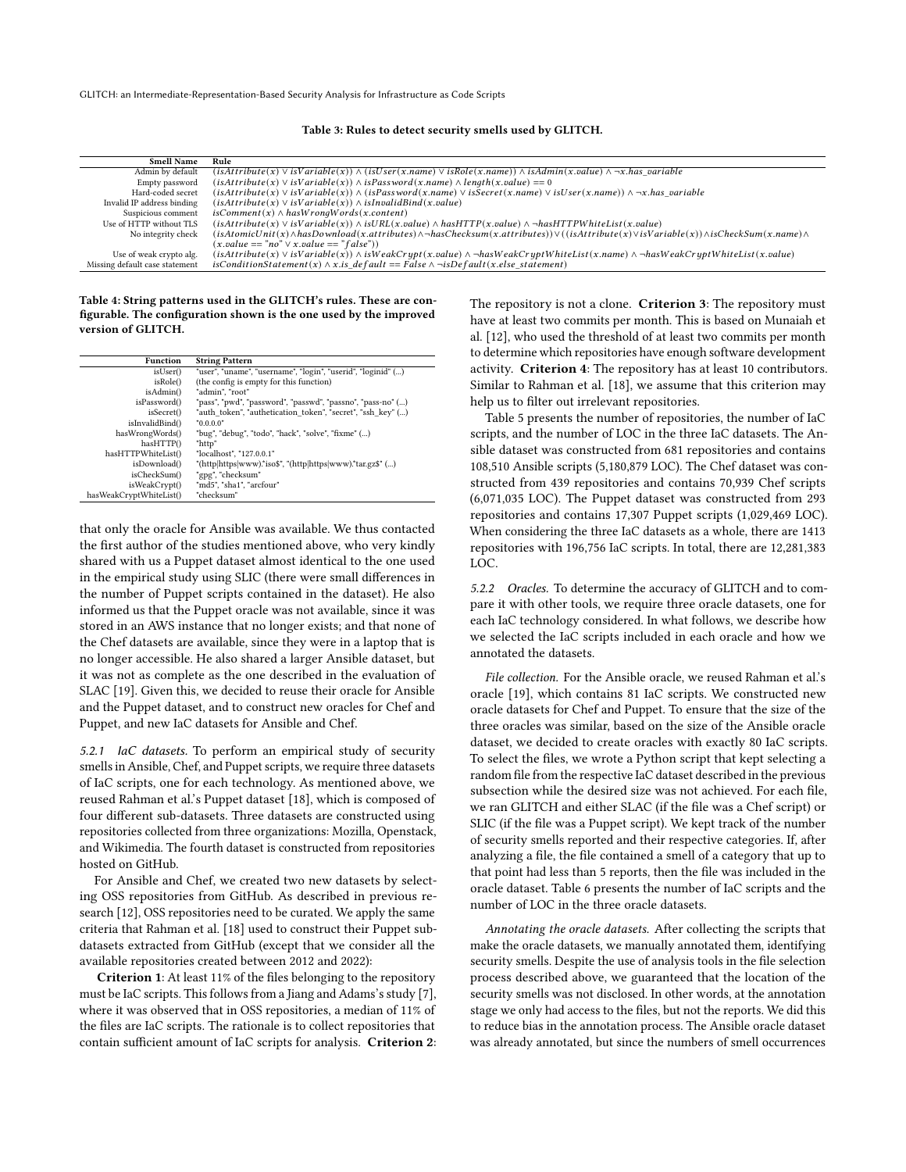<span id="page-4-0"></span>GLITCH: an Intermediate-Representation-Based Security Analysis for Infrastructure as Code Scripts

Table 3: Rules to detect security smells used by GLITCH.

| <b>Smell Name</b>              | Rule                                                                                                                                                                 |
|--------------------------------|----------------------------------------------------------------------------------------------------------------------------------------------------------------------|
| Admin by default               | $(isAttribute(x) \vee isVariable(x)) \wedge (isUser(x.name) \vee is Role(x.name)) \wedge isAdmin(x.value) \wedge \neg x. has variable$                               |
| Empty password                 | $(isAttribute(x) \vee isVariable(x)) \wedge isPassword(x.name) \wedge length(x.value) == 0$                                                                          |
| Hard-coded secret              | $(isAttribute(x) \vee isVariable(x)) \wedge (isPassword(x.name) \vee isSecret(x.name) \vee isUser(x.name)) \wedge \neg x. has variable$                              |
| Invalid IP address binding     | $(isAttribute(x) \vee isVariable(x)) \wedge isInvalidBind(x.value)$                                                                                                  |
| Suspicious comment             | $isComment(x) \wedge hasWronqWords(x.contrib)$                                                                                                                       |
| Use of HTTP without TLS        | $(isAttribute(x) \vee isVariable(x)) \wedge isURL(x.value) \wedge has HTTP(x.value) \wedge \neg has HTTPWhiteList(x.value)$                                          |
| No integrity check             | $(isAtomicUnit(x) \land hasDownload(x. attributes) \land \neg hasChecksum(x. attributes)) \lor ((isAttribute(x) \lor isVariable(x)) \land isCheckSum(x. name) \land$ |
|                                | $(x.value == "no" \vee x.value == "false")$                                                                                                                          |
| Use of weak crypto alg.        | $(isAttribute(x) \vee isVariable(x)) \wedge isWeakCrupt(x.value) \wedge \neg hasWeakCruptWhitelist(x.name) \wedge \neg hasWeakCruptWhitList(x.value)$                |
| Missing default case statement | $isConditionStatement(x) \wedge x.is\_default == False \wedge \neg isDefault(x. else\_statement)$                                                                    |

#### <span id="page-4-1"></span>Table 4: String patterns used in the GLITCH's rules. These are configurable. The configuration shown is the one used by the improved version of GLITCH.

| <b>Function</b>         | <b>String Pattern</b>                                        |
|-------------------------|--------------------------------------------------------------|
| isUser()                | "user", "uname", "username", "login", "userid", "loginid" () |
| isRole()                | (the config is empty for this function)                      |
| isAdmin()               | "admin". "root"                                              |
| isPassword()            | "pass", "pwd", "password", "passwd", "passno", "pass-no" ()  |
| isSecret()              | "auth token", "authetication token", "secret", "ssh key" ()  |
| isInvalidBind()         | "0.0.0.0"                                                    |
| hasWrongWords()         | "bug", "debug", "todo", "hack", "solve", "fixme" ()          |
| hasHTTP()               | "http"                                                       |
| hasHTTPWhiteList()      | "localhost", "127.0.0.1"                                     |
| isDownload()            | "(http https www).*iso\$", "(http https www).*tar.gz\$" ()   |
| isCheckSum()            | "gpg", "checksum"                                            |
| isWeakCrypt()           | "md5", "sha1", "arcfour"                                     |
| hasWeakCryptWhiteList() | "checksum"                                                   |

that only the oracle for Ansible was available. We thus contacted the first author of the studies mentioned above, who very kindly shared with us a Puppet dataset almost identical to the one used in the empirical study using SLIC (there were small differences in the number of Puppet scripts contained in the dataset). He also informed us that the Puppet oracle was not available, since it was stored in an AWS instance that no longer exists; and that none of the Chef datasets are available, since they were in a laptop that is no longer accessible. He also shared a larger Ansible dataset, but it was not as complete as the one described in the evaluation of SLAC [\[19\]](#page-10-5). Given this, we decided to reuse their oracle for Ansible and the Puppet dataset, and to construct new oracles for Chef and Puppet, and new IaC datasets for Ansible and Chef.

5.2.1 IaC datasets. To perform an empirical study of security smells in Ansible, Chef, and Puppet scripts, we require three datasets of IaC scripts, one for each technology. As mentioned above, we reused Rahman et al.'s Puppet dataset [\[18\]](#page-10-0), which is composed of four different sub-datasets. Three datasets are constructed using repositories collected from three organizations: Mozilla, Openstack, and Wikimedia. The fourth dataset is constructed from repositories hosted on GitHub.

For Ansible and Chef, we created two new datasets by selecting OSS repositories from GitHub. As described in previous research [\[12\]](#page-10-24), OSS repositories need to be curated. We apply the same criteria that Rahman et al. [\[18\]](#page-10-0) used to construct their Puppet subdatasets extracted from GitHub (except that we consider all the available repositories created between 2012 and 2022):

Criterion 1: At least 11% of the files belonging to the repository must be IaC scripts. This follows from a Jiang and Adams's study [\[7\]](#page-10-17), where it was observed that in OSS repositories, a median of 11% of the files are IaC scripts. The rationale is to collect repositories that contain sufficient amount of IaC scripts for analysis. Criterion 2: The repository is not a clone. Criterion 3: The repository must have at least two commits per month. This is based on Munaiah et al. [\[12\]](#page-10-24), who used the threshold of at least two commits per month to determine which repositories have enough software development activity. Criterion 4: The repository has at least 10 contributors. Similar to Rahman et al. [\[18\]](#page-10-0), we assume that this criterion may help us to filter out irrelevant repositories.

Table [5](#page-5-0) presents the number of repositories, the number of IaC scripts, and the number of LOC in the three IaC datasets. The Ansible dataset was constructed from 681 repositories and contains 108,510 Ansible scripts (5,180,879 LOC). The Chef dataset was constructed from 439 repositories and contains 70,939 Chef scripts (6,071,035 LOC). The Puppet dataset was constructed from 293 repositories and contains 17,307 Puppet scripts (1,029,469 LOC). When considering the three IaC datasets as a whole, there are 1413 repositories with 196,756 IaC scripts. In total, there are 12,281,383 LOC.

5.2.2 Oracles. To determine the accuracy of GLITCH and to compare it with other tools, we require three oracle datasets, one for each IaC technology considered. In what follows, we describe how we selected the IaC scripts included in each oracle and how we annotated the datasets.

File collection. For the Ansible oracle, we reused Rahman et al.'s oracle [\[19\]](#page-10-5), which contains 81 IaC scripts. We constructed new oracle datasets for Chef and Puppet. To ensure that the size of the three oracles was similar, based on the size of the Ansible oracle dataset, we decided to create oracles with exactly 80 IaC scripts. To select the files, we wrote a Python script that kept selecting a random file from the respective IaC dataset described in the previous subsection while the desired size was not achieved. For each file, we ran GLITCH and either SLAC (if the file was a Chef script) or SLIC (if the file was a Puppet script). We kept track of the number of security smells reported and their respective categories. If, after analyzing a file, the file contained a smell of a category that up to that point had less than 5 reports, then the file was included in the oracle dataset. Table [6](#page-5-0) presents the number of IaC scripts and the number of LOC in the three oracle datasets.

Annotating the oracle datasets. After collecting the scripts that make the oracle datasets, we manually annotated them, identifying security smells. Despite the use of analysis tools in the file selection process described above, we guaranteed that the location of the security smells was not disclosed. In other words, at the annotation stage we only had access to the files, but not the reports. We did this to reduce bias in the annotation process. The Ansible oracle dataset was already annotated, but since the numbers of smell occurrences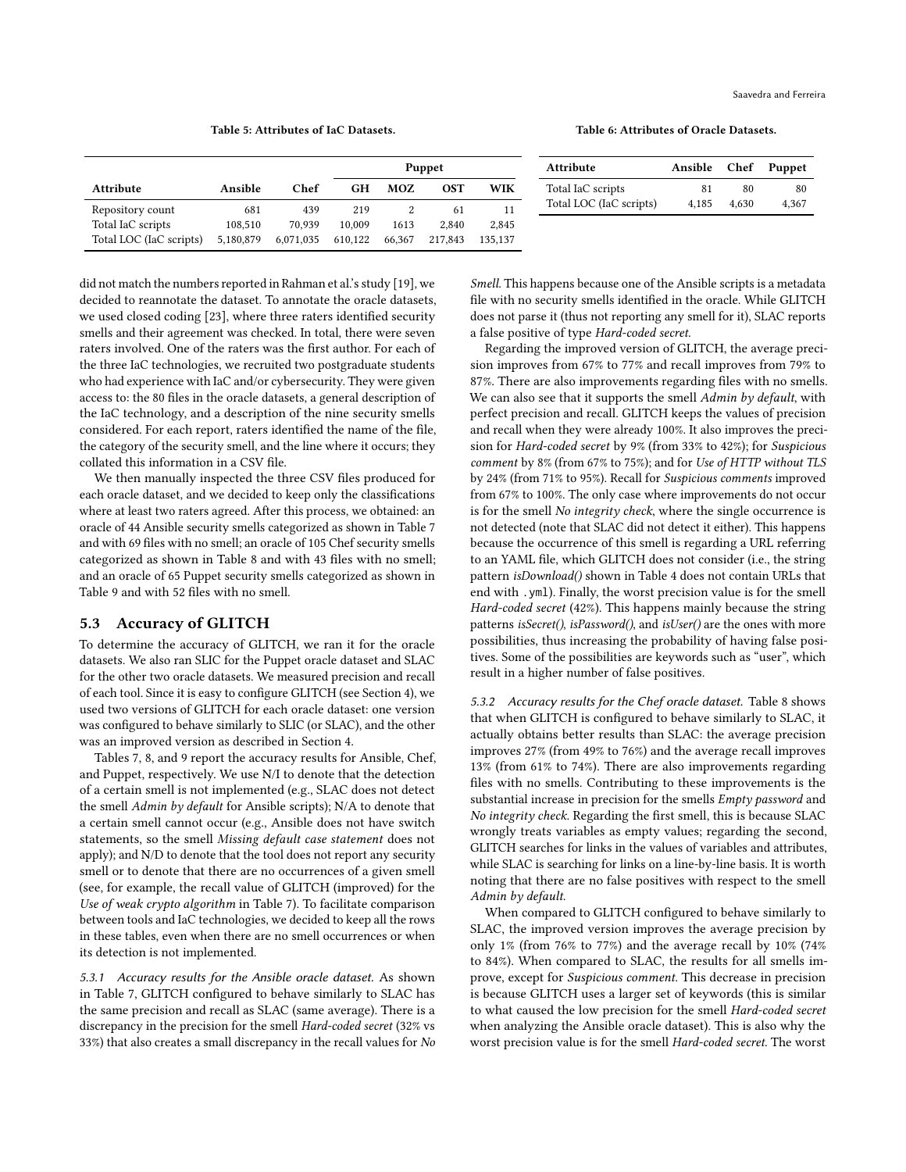# Table 5: Attributes of IaC Datasets.

<span id="page-5-0"></span>

|                         |           |           | <b>Puppet</b> |        |         |         |  |  |  |
|-------------------------|-----------|-----------|---------------|--------|---------|---------|--|--|--|
| Attribute               | Ansible   | Chef      | GH            | MOZ    | OST     | WIK     |  |  |  |
| Repository count        | 681       | 439       | 219           |        | 61      | 11      |  |  |  |
| Total IaC scripts       | 108.510   | 70.939    | 10,009        | 1613   | 2.840   | 2.845   |  |  |  |
| Total LOC (IaC scripts) | 5.180.879 | 6.071.035 | 610.122       | 66.367 | 217,843 | 135.137 |  |  |  |

Table 6: Attributes of Oracle Datasets.

| Attribute               | Ansible Chef |       | Puppet |
|-------------------------|--------------|-------|--------|
| Total IaC scripts       | 81           | 80    | 80     |
| Total LOC (IaC scripts) | 4.185        | 4.630 | 4.367  |

did not match the numbers reported in Rahman et al.'s study [\[19\]](#page-10-5), we decided to reannotate the dataset. To annotate the oracle datasets, we used closed coding [\[23\]](#page-10-25), where three raters identified security smells and their agreement was checked. In total, there were seven raters involved. One of the raters was the first author. For each of the three IaC technologies, we recruited two postgraduate students who had experience with IaC and/or cybersecurity. They were given access to: the 80 files in the oracle datasets, a general description of the IaC technology, and a description of the nine security smells considered. For each report, raters identified the name of the file, the category of the security smell, and the line where it occurs; they collated this information in a CSV file.

We then manually inspected the three CSV files produced for each oracle dataset, and we decided to keep only the classifications where at least two raters agreed. After this process, we obtained: an oracle of 44 Ansible security smells categorized as shown in Table [7](#page-7-0) and with 69 files with no smell; an oracle of 105 Chef security smells categorized as shown in Table [8](#page-7-1) and with 43 files with no smell; and an oracle of 65 Puppet security smells categorized as shown in Table [9](#page-7-2) and with 52 files with no smell.

# <span id="page-5-1"></span>5.3 Accuracy of GLITCH

To determine the accuracy of GLITCH, we ran it for the oracle datasets. We also ran SLIC for the Puppet oracle dataset and SLAC for the other two oracle datasets. We measured precision and recall of each tool. Since it is easy to configure GLITCH (see Section [4\)](#page-3-10), we used two versions of GLITCH for each oracle dataset: one version was configured to behave similarly to SLIC (or SLAC), and the other was an improved version as described in Section [4.](#page-3-10)

Tables [7,](#page-7-0) [8,](#page-7-1) and [9](#page-7-2) report the accuracy results for Ansible, Chef, and Puppet, respectively. We use N/I to denote that the detection of a certain smell is not implemented (e.g., SLAC does not detect the smell Admin by default for Ansible scripts); N/A to denote that a certain smell cannot occur (e.g., Ansible does not have switch statements, so the smell Missing default case statement does not apply); and N/D to denote that the tool does not report any security smell or to denote that there are no occurrences of a given smell (see, for example, the recall value of GLITCH (improved) for the Use of weak crypto algorithm in Table [7\)](#page-7-0). To facilitate comparison between tools and IaC technologies, we decided to keep all the rows in these tables, even when there are no smell occurrences or when its detection is not implemented.

5.3.1 Accuracy results for the Ansible oracle dataset. As shown in Table [7,](#page-7-0) GLITCH configured to behave similarly to SLAC has the same precision and recall as SLAC (same average). There is a discrepancy in the precision for the smell Hard-coded secret (32% vs 33%) that also creates a small discrepancy in the recall values for No

Smell. This happens because one of the Ansible scripts is a metadata file with no security smells identified in the oracle. While GLITCH does not parse it (thus not reporting any smell for it), SLAC reports a false positive of type Hard-coded secret.

Regarding the improved version of GLITCH, the average precision improves from 67% to 77% and recall improves from 79% to 87%. There are also improvements regarding files with no smells. We can also see that it supports the smell Admin by default, with perfect precision and recall. GLITCH keeps the values of precision and recall when they were already 100%. It also improves the precision for Hard-coded secret by 9% (from 33% to 42%); for Suspicious comment by 8% (from 67% to 75%); and for Use of HTTP without TLS by 24% (from 71% to 95%). Recall for Suspicious comments improved from 67% to 100%. The only case where improvements do not occur is for the smell No integrity check, where the single occurrence is not detected (note that SLAC did not detect it either). This happens because the occurrence of this smell is regarding a URL referring to an YAML file, which GLITCH does not consider (i.e., the string pattern isDownload() shown in Table [4](#page-4-1) does not contain URLs that end with .yml). Finally, the worst precision value is for the smell Hard-coded secret (42%). This happens mainly because the string patterns isSecret(), isPassword(), and isUser() are the ones with more possibilities, thus increasing the probability of having false positives. Some of the possibilities are keywords such as "user", which result in a higher number of false positives.

5.3.2 Accuracy results for the Chef oracle dataset. Table [8](#page-7-1) shows that when GLITCH is configured to behave similarly to SLAC, it actually obtains better results than SLAC: the average precision improves 27% (from 49% to 76%) and the average recall improves 13% (from 61% to 74%). There are also improvements regarding files with no smells. Contributing to these improvements is the substantial increase in precision for the smells Empty password and No integrity check. Regarding the first smell, this is because SLAC wrongly treats variables as empty values; regarding the second, GLITCH searches for links in the values of variables and attributes, while SLAC is searching for links on a line-by-line basis. It is worth noting that there are no false positives with respect to the smell Admin by default.

When compared to GLITCH configured to behave similarly to SLAC, the improved version improves the average precision by only 1% (from 76% to 77%) and the average recall by 10% (74% to 84%). When compared to SLAC, the results for all smells improve, except for Suspicious comment. This decrease in precision is because GLITCH uses a larger set of keywords (this is similar to what caused the low precision for the smell Hard-coded secret when analyzing the Ansible oracle dataset). This is also why the worst precision value is for the smell Hard-coded secret. The worst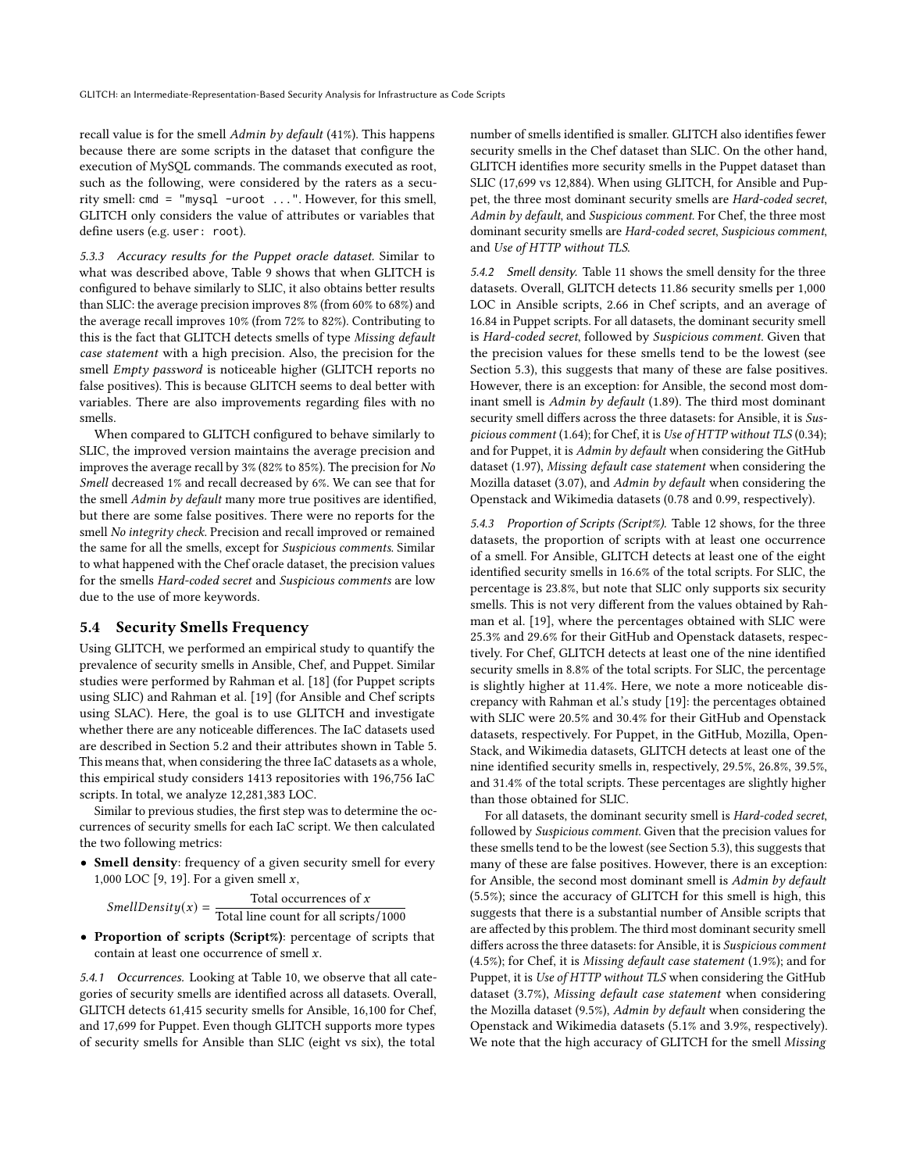recall value is for the smell Admin by default (41%). This happens because there are some scripts in the dataset that configure the execution of MySQL commands. The commands executed as root, such as the following, were considered by the raters as a security smell: cmd = "mysql -uroot ...". However, for this smell, GLITCH only considers the value of attributes or variables that define users (e.g. user: root).

5.3.3 Accuracy results for the Puppet oracle dataset. Similar to what was described above, Table [9](#page-7-2) shows that when GLITCH is configured to behave similarly to SLIC, it also obtains better results than SLIC: the average precision improves 8% (from 60% to 68%) and the average recall improves 10% (from 72% to 82%). Contributing to this is the fact that GLITCH detects smells of type Missing default case statement with a high precision. Also, the precision for the smell Empty password is noticeable higher (GLITCH reports no false positives). This is because GLITCH seems to deal better with variables. There are also improvements regarding files with no smells.

When compared to GLITCH configured to behave similarly to SLIC, the improved version maintains the average precision and improves the average recall by 3% (82% to 85%). The precision for No Smell decreased 1% and recall decreased by 6%. We can see that for the smell Admin by default many more true positives are identified, but there are some false positives. There were no reports for the smell No integrity check. Precision and recall improved or remained the same for all the smells, except for Suspicious comments. Similar to what happened with the Chef oracle dataset, the precision values for the smells Hard-coded secret and Suspicious comments are low due to the use of more keywords.

#### 5.4 Security Smells Frequency

Using GLITCH, we performed an empirical study to quantify the prevalence of security smells in Ansible, Chef, and Puppet. Similar studies were performed by Rahman et al. [\[18\]](#page-10-0) (for Puppet scripts using SLIC) and Rahman et al. [\[19\]](#page-10-5) (for Ansible and Chef scripts using SLAC). Here, the goal is to use GLITCH and investigate whether there are any noticeable differences. The IaC datasets used are described in Section [5.2](#page-3-11) and their attributes shown in Table [5.](#page-5-0) This means that, when considering the three IaC datasets as a whole, this empirical study considers 1413 repositories with 196,756 IaC scripts. In total, we analyze 12,281,383 LOC.

Similar to previous studies, the first step was to determine the occurrences of security smells for each IaC script. We then calculated the two following metrics:

• Smell density: frequency of a given security smell for every 1,000 LOC [\[9,](#page-10-26) [19\]](#page-10-5). For a given smell  $x$ ,

SmellDensity(x) =  $\frac{\text{Total occurrences of } x}{\text{Total} + \text{Total} + \text{Total}}$ Total line count for all scripts/1000

• Proportion of scripts (Script%): percentage of scripts that contain at least one occurrence of smell  $x$ .

5.4.1 Occurrences. Looking at Table [10,](#page-8-0) we observe that all categories of security smells are identified across all datasets. Overall, GLITCH detects 61,415 security smells for Ansible, 16,100 for Chef, and 17,699 for Puppet. Even though GLITCH supports more types of security smells for Ansible than SLIC (eight vs six), the total

number of smells identified is smaller. GLITCH also identifies fewer security smells in the Chef dataset than SLIC. On the other hand, GLITCH identifies more security smells in the Puppet dataset than SLIC (17,699 vs 12,884). When using GLITCH, for Ansible and Puppet, the three most dominant security smells are Hard-coded secret, Admin by default, and Suspicious comment. For Chef, the three most dominant security smells are Hard-coded secret, Suspicious comment, and Use of HTTP without TLS.

5.4.2 Smell density. Table [11](#page-8-1) shows the smell density for the three datasets. Overall, GLITCH detects 11.86 security smells per 1,000 LOC in Ansible scripts, 2.66 in Chef scripts, and an average of 16.84 in Puppet scripts. For all datasets, the dominant security smell is Hard-coded secret, followed by Suspicious comment. Given that the precision values for these smells tend to be the lowest (see Section [5.3\)](#page-5-1), this suggests that many of these are false positives. However, there is an exception: for Ansible, the second most dominant smell is Admin by default (1.89). The third most dominant security smell differs across the three datasets: for Ansible, it is Suspicious comment (1.64); for Chef, it is Use of HTTP without TLS (0.34); and for Puppet, it is Admin by default when considering the GitHub dataset (1.97), Missing default case statement when considering the Mozilla dataset (3.07), and Admin by default when considering the Openstack and Wikimedia datasets (0.78 and 0.99, respectively).

5.4.3 Proportion of Scripts (Script%). Table [12](#page-8-2) shows, for the three datasets, the proportion of scripts with at least one occurrence of a smell. For Ansible, GLITCH detects at least one of the eight identified security smells in 16.6% of the total scripts. For SLIC, the percentage is 23.8%, but note that SLIC only supports six security smells. This is not very different from the values obtained by Rahman et al. [\[19\]](#page-10-5), where the percentages obtained with SLIC were 25.3% and 29.6% for their GitHub and Openstack datasets, respectively. For Chef, GLITCH detects at least one of the nine identified security smells in 8.8% of the total scripts. For SLIC, the percentage is slightly higher at 11.4%. Here, we note a more noticeable discrepancy with Rahman et al.'s study [\[19\]](#page-10-5): the percentages obtained with SLIC were 20.5% and 30.4% for their GitHub and Openstack datasets, respectively. For Puppet, in the GitHub, Mozilla, Open-Stack, and Wikimedia datasets, GLITCH detects at least one of the nine identified security smells in, respectively, 29.5%, 26.8%, 39.5%, and 31.4% of the total scripts. These percentages are slightly higher than those obtained for SLIC.

For all datasets, the dominant security smell is Hard-coded secret, followed by Suspicious comment. Given that the precision values for these smells tend to be the lowest (see Section [5.3\)](#page-5-1), this suggests that many of these are false positives. However, there is an exception: for Ansible, the second most dominant smell is Admin by default (5.5%); since the accuracy of GLITCH for this smell is high, this suggests that there is a substantial number of Ansible scripts that are affected by this problem. The third most dominant security smell differs across the three datasets: for Ansible, it is Suspicious comment (4.5%); for Chef, it is Missing default case statement (1.9%); and for Puppet, it is Use of HTTP without TLS when considering the GitHub dataset (3.7%), Missing default case statement when considering the Mozilla dataset (9.5%), Admin by default when considering the Openstack and Wikimedia datasets (5.1% and 3.9%, respectively). We note that the high accuracy of GLITCH for the smell Missing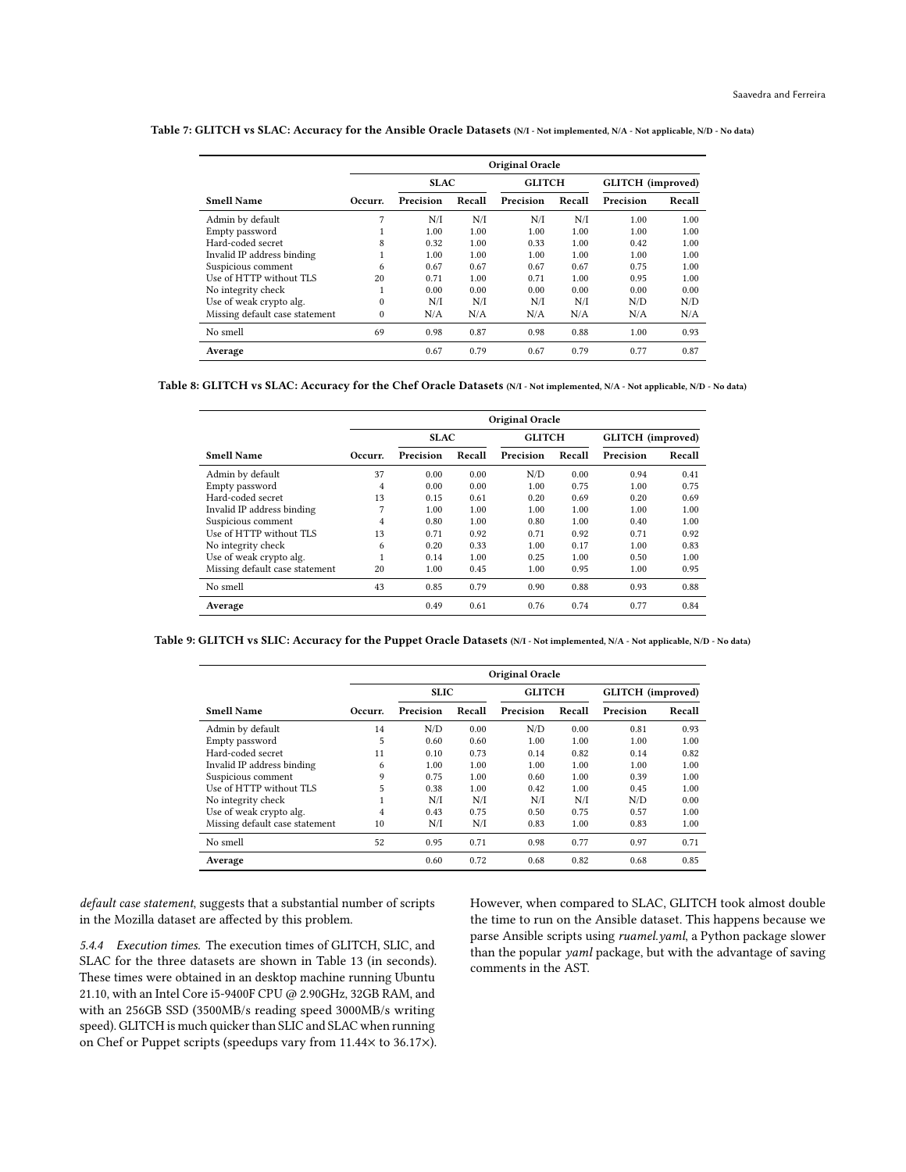<span id="page-7-0"></span>Table 7: GLITCH vs SLAC: Accuracy for the Ansible Oracle Datasets (N/I - Not implemented, N/A - Not applicable, N/D - No data)

|                                | Original Oracle |             |        |               |        |                   |        |  |  |  |  |
|--------------------------------|-----------------|-------------|--------|---------------|--------|-------------------|--------|--|--|--|--|
|                                |                 | <b>SLAC</b> |        | <b>GLITCH</b> |        | GLITCH (improved) |        |  |  |  |  |
| <b>Smell Name</b>              | Occurr.         | Precision   | Recall | Precision     | Recall | Precision         | Recall |  |  |  |  |
| Admin by default               | 7               | N/I         | N/I    | N/I           | N/I    | 1.00              | 1.00   |  |  |  |  |
| Empty password                 |                 | 1.00        | 1.00   | 1.00          | 1.00   | 1.00              | 1.00   |  |  |  |  |
| Hard-coded secret              | 8               | 0.32        | 1.00   | 0.33          | 1.00   | 0.42              | 1.00   |  |  |  |  |
| Invalid IP address binding     | 1               | 1.00        | 1.00   | 1.00          | 1.00   | 1.00              | 1.00   |  |  |  |  |
| Suspicious comment             | 6               | 0.67        | 0.67   | 0.67          | 0.67   | 0.75              | 1.00   |  |  |  |  |
| Use of HTTP without TLS        | 20              | 0.71        | 1.00   | 0.71          | 1.00   | 0.95              | 1.00   |  |  |  |  |
| No integrity check             | 1               | 0.00        | 0.00   | 0.00          | 0.00   | 0.00              | 0.00   |  |  |  |  |
| Use of weak crypto alg.        | $\mathbf{0}$    | N/I         | N/I    | N/I           | N/I    | N/D               | N/D    |  |  |  |  |
| Missing default case statement | $\mathbf{0}$    | N/A         | N/A    | N/A           | N/A    | N/A               | N/A    |  |  |  |  |
| No smell                       | 69              | 0.98        | 0.87   | 0.98          | 0.88   | 1.00              | 0.93   |  |  |  |  |
| Average                        |                 | 0.67        | 0.79   | 0.67          | 0.79   | 0.77              | 0.87   |  |  |  |  |

<span id="page-7-1"></span>Table 8: GLITCH vs SLAC: Accuracy for the Chef Oracle Datasets (N/I - Not implemented, N/A - Not applicable, N/D - No data)

|                                | Original Oracle |             |        |               |        |                   |        |  |  |  |  |
|--------------------------------|-----------------|-------------|--------|---------------|--------|-------------------|--------|--|--|--|--|
|                                |                 | <b>SLAC</b> |        | <b>GLITCH</b> |        | GLITCH (improved) |        |  |  |  |  |
| <b>Smell Name</b>              | Occurr.         | Precision   | Recall | Precision     | Recall | Precision         | Recall |  |  |  |  |
| Admin by default               | 37              | 0.00        | 0.00   | N/D           | 0.00   | 0.94              | 0.41   |  |  |  |  |
| Empty password                 | 4               | 0.00        | 0.00   | 1.00          | 0.75   | 1.00              | 0.75   |  |  |  |  |
| Hard-coded secret              | 13              | 0.15        | 0.61   | 0.20          | 0.69   | 0.20              | 0.69   |  |  |  |  |
| Invalid IP address binding     | 7               | 1.00        | 1.00   | 1.00          | 1.00   | 1.00              | 1.00   |  |  |  |  |
| Suspicious comment             | 4               | 0.80        | 1.00   | 0.80          | 1.00   | 0.40              | 1.00   |  |  |  |  |
| Use of HTTP without TLS        | 13              | 0.71        | 0.92   | 0.71          | 0.92   | 0.71              | 0.92   |  |  |  |  |
| No integrity check             | 6               | 0.20        | 0.33   | 1.00          | 0.17   | 1.00              | 0.83   |  |  |  |  |
| Use of weak crypto alg.        | 1               | 0.14        | 1.00   | 0.25          | 1.00   | 0.50              | 1.00   |  |  |  |  |
| Missing default case statement | 20              | 1.00        | 0.45   | 1.00          | 0.95   | 1.00              | 0.95   |  |  |  |  |
| No smell                       | 43              | 0.85        | 0.79   | 0.90          | 0.88   | 0.93              | 0.88   |  |  |  |  |
| Average                        |                 | 0.49        | 0.61   | 0.76          | 0.74   | 0.77              | 0.84   |  |  |  |  |

<span id="page-7-2"></span>Table 9: GLITCH vs SLIC: Accuracy for the Puppet Oracle Datasets (N/I - Not implemented, N/A - Not applicable, N/D - No data)

|                                | Original Oracle |             |        |               |        |                   |        |  |  |  |  |
|--------------------------------|-----------------|-------------|--------|---------------|--------|-------------------|--------|--|--|--|--|
|                                |                 | <b>SLIC</b> |        | <b>GLITCH</b> |        | GLITCH (improved) |        |  |  |  |  |
| <b>Smell Name</b>              | Occurr.         | Precision   | Recall | Precision     | Recall | Precision         | Recall |  |  |  |  |
| Admin by default               | 14              | N/D         | 0.00   | N/D           | 0.00   | 0.81              | 0.93   |  |  |  |  |
| Empty password                 | 5               | 0.60        | 0.60   | 1.00          | 1.00   | 1.00              | 1.00   |  |  |  |  |
| Hard-coded secret              | 11              | 0.10        | 0.73   | 0.14          | 0.82   | 0.14              | 0.82   |  |  |  |  |
| Invalid IP address binding     | 6               | 1.00        | 1.00   | 1.00          | 1.00   | 1.00              | 1.00   |  |  |  |  |
| Suspicious comment             | 9               | 0.75        | 1.00   | 0.60          | 1.00   | 0.39              | 1.00   |  |  |  |  |
| Use of HTTP without TLS        | 5               | 0.38        | 1.00   | 0.42          | 1.00   | 0.45              | 1.00   |  |  |  |  |
| No integrity check             |                 | N/I         | N/I    | N/I           | N/I    | N/D               | 0.00   |  |  |  |  |
| Use of weak crypto alg.        | 4               | 0.43        | 0.75   | 0.50          | 0.75   | 0.57              | 1.00   |  |  |  |  |
| Missing default case statement | 10              | N/I         | N/I    | 0.83          | 1.00   | 0.83              | 1.00   |  |  |  |  |
| No smell                       | 52              | 0.95        | 0.71   | 0.98          | 0.77   | 0.97              | 0.71   |  |  |  |  |
| Average                        |                 | 0.60        | 0.72   | 0.68          | 0.82   | 0.68              | 0.85   |  |  |  |  |

default case statement, suggests that a substantial number of scripts in the Mozilla dataset are affected by this problem.

5.4.4 Execution times. The execution times of GLITCH, SLIC, and SLAC for the three datasets are shown in Table [13](#page-8-3) (in seconds). These times were obtained in an desktop machine running Ubuntu 21.10, with an Intel Core i5-9400F CPU @ 2.90GHz, 32GB RAM, and with an 256GB SSD (3500MB/s reading speed 3000MB/s writing speed). GLITCH is much quicker than SLIC and SLAC when running on Chef or Puppet scripts (speedups vary from 11.44× to 36.17×). However, when compared to SLAC, GLITCH took almost double the time to run on the Ansible dataset. This happens because we parse Ansible scripts using ruamel.yaml, a Python package slower than the popular yaml package, but with the advantage of saving comments in the AST.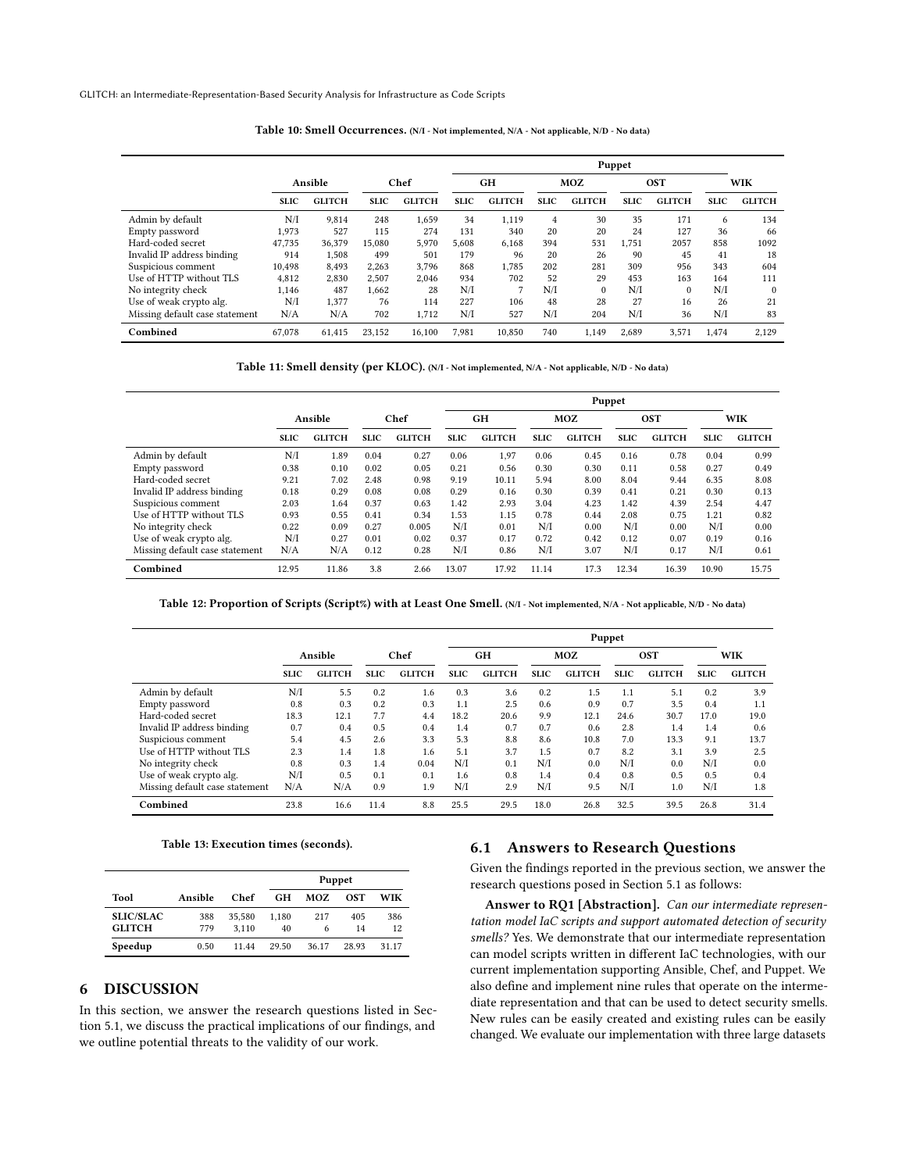<span id="page-8-0"></span>GLITCH: an Intermediate-Representation-Based Security Analysis for Infrastructure as Code Scripts

|                                |             |               |             |               | Puppet      |               |             |               |             |               |             |               |  |  |  |
|--------------------------------|-------------|---------------|-------------|---------------|-------------|---------------|-------------|---------------|-------------|---------------|-------------|---------------|--|--|--|
|                                | Ansible     |               | Chef        |               | <b>GH</b>   |               | MOZ         |               | <b>OST</b>  |               | WIK         |               |  |  |  |
|                                | <b>SLIC</b> | <b>GLITCH</b> | <b>SLIC</b> | <b>GLITCH</b> | <b>SLIC</b> | <b>GLITCH</b> | <b>SLIC</b> | <b>GLITCH</b> | <b>SLIC</b> | <b>GLITCH</b> | <b>SLIC</b> | <b>GLITCH</b> |  |  |  |
| Admin by default               | N/I         | 9.814         | 248         | 1.659         | 34          | 1.119         | 4           | 30            | 35          | 171           | 6           | 134           |  |  |  |
| Empty password                 | 1,973       | 527           | 115         | 274           | 131         | 340           | 20          | 20            | 24          | 127           | 36          | 66            |  |  |  |
| Hard-coded secret              | 47,735      | 36,379        | 15,080      | 5,970         | 5,608       | 6,168         | 394         | 531           | 1.751       | 2057          | 858         | 1092          |  |  |  |
| Invalid IP address binding     | 914         | 1.508         | 499         | 501           | 179         | 96            | 20          | 26            | 90          | 45            | 41          | 18            |  |  |  |
| Suspicious comment             | 10.498      | 8.493         | 2,263       | 3.796         | 868         | 1.785         | 202         | 281           | 309         | 956           | 343         | 604           |  |  |  |
| Use of HTTP without TLS        | 4,812       | 2,830         | 2,507       | 2.046         | 934         | 702           | 52          | 29            | 453         | 163           | 164         | 111           |  |  |  |
| No integrity check             | 1,146       | 487           | 1,662       | 28            | N/I         | 7             | N/I         | $\mathbf{0}$  | N/I         | $\mathbf{0}$  | N/I         | $\Omega$      |  |  |  |
| Use of weak crypto alg.        | N/I         | 1.377         | 76          | 114           | 227         | 106           | 48          | 28            | 27          | 16            | 26          | 21            |  |  |  |
| Missing default case statement | N/A         | N/A           | 702         | 1,712         | N/I         | 527           | N/I         | 204           | N/I         | 36            | N/I         | 83            |  |  |  |
| Combined                       | 67.078      | 61.415        | 23.152      | 16,100        | 7.981       | 10.850        | 740         | 1.149         | 2.689       | 3.571         | 1.474       | 2.129         |  |  |  |

Table 10: Smell Occurrences. (N/I - Not implemented, N/A - Not applicable, N/D - No data)

Table 11: Smell density (per KLOC). (N/I - Not implemented, N/A - Not applicable, N/D - No data)

<span id="page-8-1"></span>

|                                |             |               |             |               | Puppet      |               |             |               |             |               |             |               |  |
|--------------------------------|-------------|---------------|-------------|---------------|-------------|---------------|-------------|---------------|-------------|---------------|-------------|---------------|--|
|                                |             | Ansible       | Chef        |               |             | <b>GH</b>     |             | MOZ           |             | <b>OST</b>    |             | WIK           |  |
|                                | <b>SLIC</b> | <b>GLITCH</b> | <b>SLIC</b> | <b>GLITCH</b> | <b>SLIC</b> | <b>GLITCH</b> | <b>SLIC</b> | <b>GLITCH</b> | <b>SLIC</b> | <b>GLITCH</b> | <b>SLIC</b> | <b>GLITCH</b> |  |
| Admin by default               | N/I         | 1.89          | 0.04        | 0.27          | 0.06        | 1,97          | 0.06        | 0.45          | 0.16        | 0.78          | 0.04        | 0.99          |  |
| Empty password                 | 0.38        | 0.10          | 0.02        | 0.05          | 0.21        | 0.56          | 0.30        | 0.30          | 0.11        | 0.58          | 0.27        | 0.49          |  |
| Hard-coded secret              | 9.21        | 7.02          | 2.48        | 0.98          | 9.19        | 10.11         | 5.94        | 8.00          | 8.04        | 9.44          | 6.35        | 8.08          |  |
| Invalid IP address binding     | 0.18        | 0.29          | 0.08        | 0.08          | 0.29        | 0.16          | 0.30        | 0.39          | 0.41        | 0.21          | 0.30        | 0.13          |  |
| Suspicious comment             | 2.03        | 1.64          | 0.37        | 0.63          | 1.42        | 2.93          | 3.04        | 4.23          | 1.42        | 4.39          | 2.54        | 4.47          |  |
| Use of HTTP without TLS        | 0.93        | 0.55          | 0.41        | 0.34          | 1.53        | 1.15          | 0.78        | 0.44          | 2.08        | 0.75          | 1.21        | 0.82          |  |
| No integrity check             | 0.22        | 0.09          | 0.27        | 0.005         | N/I         | 0.01          | N/I         | 0.00          | N/I         | 0.00          | N/I         | 0.00          |  |
| Use of weak crypto alg.        | N/I         | 0.27          | 0.01        | 0.02          | 0.37        | 0.17          | 0.72        | 0.42          | 0.12        | 0.07          | 0.19        | 0.16          |  |
| Missing default case statement | N/A         | N/A           | 0.12        | 0.28          | N/I         | 0.86          | N/I         | 3.07          | N/I         | 0.17          | N/I         | 0.61          |  |
| Combined                       | 12.95       | 11.86         | 3.8         | 2.66          | 13.07       | 17.92         | 11.14       | 17.3          | 12.34       | 16.39         | 10.90       | 15.75         |  |

Table 12: Proportion of Scripts (Script%) with at Least One Smell. (N/I - Not implemented, N/A - Not applicable, N/D - No data)

<span id="page-8-2"></span>

|                                |             |               |             |               | Puppet      |               |             |               |             |               |             |               |
|--------------------------------|-------------|---------------|-------------|---------------|-------------|---------------|-------------|---------------|-------------|---------------|-------------|---------------|
|                                | Ansible     |               | Chef        |               |             | <b>GH</b>     |             | MOZ           |             | <b>OST</b>    |             | <b>WIK</b>    |
|                                | <b>SLIC</b> | <b>GLITCH</b> | <b>SLIC</b> | <b>GLITCH</b> | <b>SLIC</b> | <b>GLITCH</b> | <b>SLIC</b> | <b>GLITCH</b> | <b>SLIC</b> | <b>GLITCH</b> | <b>SLIC</b> | <b>GLITCH</b> |
| Admin by default               | N/I         | 5.5           | 0.2         | 1.6           | 0.3         | 3.6           | 0.2         | 1.5           | 1.1         | 5.1           | 0.2         | 3.9           |
| Empty password                 | 0.8         | 0.3           | 0.2         | 0.3           | 1.1         | 2.5           | 0.6         | 0.9           | 0.7         | 3.5           | 0.4         | 1.1           |
| Hard-coded secret              | 18.3        | 12.1          | 7.7         | 4.4           | 18.2        | 20.6          | 9.9         | 12.1          | 24.6        | 30.7          | 17.0        | 19.0          |
| Invalid IP address binding     | 0.7         | 0.4           | 0.5         | 0.4           | 1.4         | 0.7           | 0.7         | 0.6           | 2.8         | 1.4           | 1.4         | 0.6           |
| Suspicious comment             | 5.4         | 4.5           | 2.6         | 3.3           | 5.3         | 8.8           | 8.6         | 10.8          | 7.0         | 13.3          | 9.1         | 13.7          |
| Use of HTTP without TLS        | 2.3         | 1.4           | 1.8         | 1.6           | 5.1         | 3.7           | 1.5         | 0.7           | 8.2         | 3.1           | 3.9         | 2.5           |
| No integrity check             | 0.8         | 0.3           | 1.4         | 0.04          | N/I         | 0.1           | N/I         | 0.0           | N/I         | 0.0           | N/I         | 0.0           |
| Use of weak crypto alg.        | N/I         | 0.5           | 0.1         | 0.1           | 1.6         | 0.8           | 1.4         | 0.4           | 0.8         | 0.5           | 0.5         | 0.4           |
| Missing default case statement | N/A         | N/A           | 0.9         | 1.9           | N/I         | 2.9           | N/I         | 9.5           | N/I         | 1.0           | N/I         | 1.8           |
| Combined                       | 23.8        | 16.6          | 11.4        | 8.8           | 25.5        | 29.5          | 18.0        | 26.8          | 32.5        | 39.5          | 26.8        | 31.4          |

#### Table 13: Execution times (seconds).

<span id="page-8-3"></span>

|                                   |            |                 | Puppet      |          |           |           |
|-----------------------------------|------------|-----------------|-------------|----------|-----------|-----------|
| Tool                              | Ansible    | Chef            | GН          | MOZ      | OST       | WIK       |
| <b>SLIC/SLAC</b><br><b>GLITCH</b> | 388<br>779 | 35.580<br>3.110 | 1.180<br>40 | 217<br>6 | 405<br>14 | 386<br>12 |
| Speedup                           | 0.50       | 11.44           | 29.50       | 36.17    | 28.93     | 31.17     |

# 6 DISCUSSION

In this section, we answer the research questions listed in Section [5.1,](#page-3-12) we discuss the practical implications of our findings, and we outline potential threats to the validity of our work.

#### 6.1 Answers to Research Questions

Given the findings reported in the previous section, we answer the research questions posed in Section [5.1](#page-3-12) as follows:

Answer to RQ1 [Abstraction]. Can our intermediate representation model IaC scripts and support automated detection of security smells? Yes. We demonstrate that our intermediate representation can model scripts written in different IaC technologies, with our current implementation supporting Ansible, Chef, and Puppet. We also define and implement nine rules that operate on the intermediate representation and that can be used to detect security smells. New rules can be easily created and existing rules can be easily changed. We evaluate our implementation with three large datasets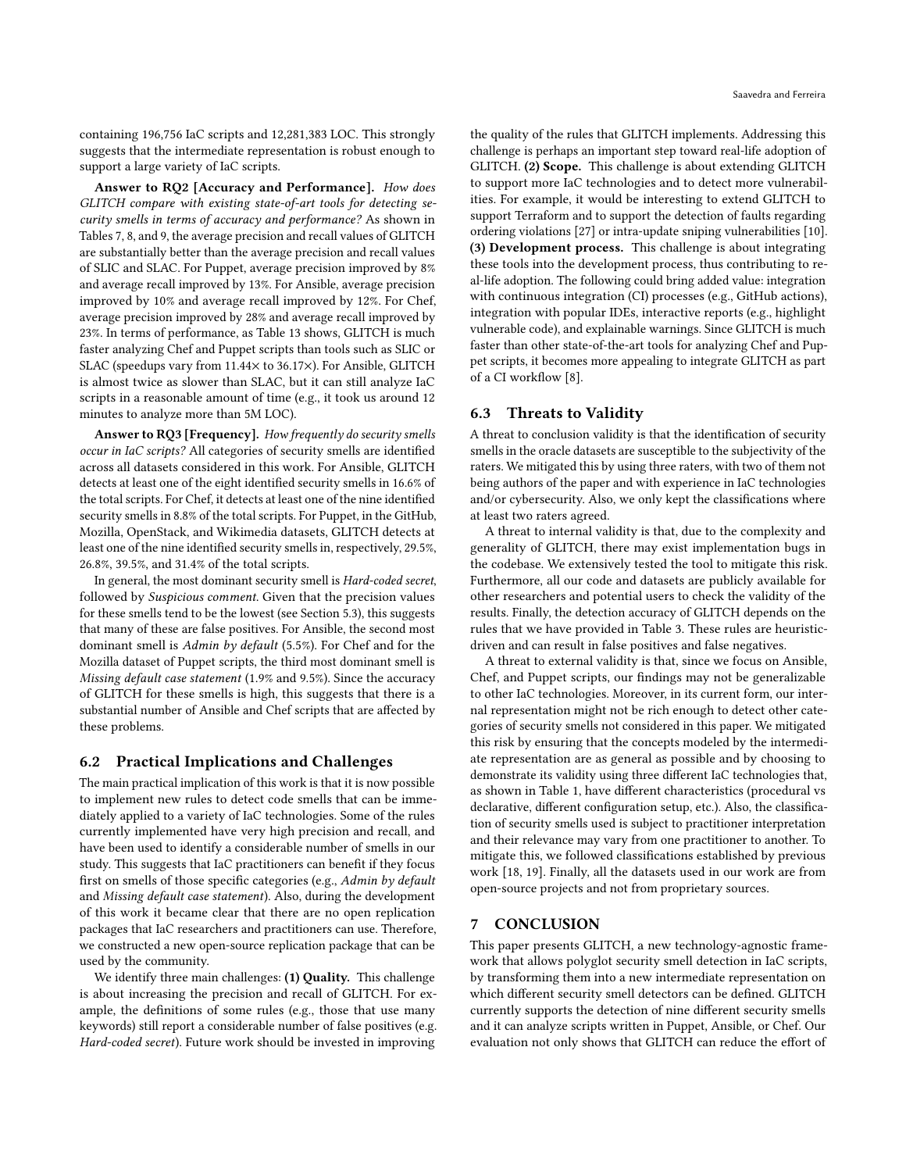containing 196,756 IaC scripts and 12,281,383 LOC. This strongly suggests that the intermediate representation is robust enough to support a large variety of IaC scripts.

Answer to RQ2 [Accuracy and Performance]. How does GLITCH compare with existing state-of-art tools for detecting security smells in terms of accuracy and performance? As shown in Tables [7,](#page-7-0) [8,](#page-7-1) and [9,](#page-7-2) the average precision and recall values of GLITCH are substantially better than the average precision and recall values of SLIC and SLAC. For Puppet, average precision improved by 8% and average recall improved by 13%. For Ansible, average precision improved by 10% and average recall improved by 12%. For Chef, average precision improved by 28% and average recall improved by 23%. In terms of performance, as Table [13](#page-8-3) shows, GLITCH is much faster analyzing Chef and Puppet scripts than tools such as SLIC or SLAC (speedups vary from 11.44× to 36.17×). For Ansible, GLITCH is almost twice as slower than SLAC, but it can still analyze IaC scripts in a reasonable amount of time (e.g., it took us around 12 minutes to analyze more than 5M LOC).

Answer to RQ3 [Frequency]. How frequently do security smells occur in IaC scripts? All categories of security smells are identified across all datasets considered in this work. For Ansible, GLITCH detects at least one of the eight identified security smells in 16.6% of the total scripts. For Chef, it detects at least one of the nine identified security smells in 8.8% of the total scripts. For Puppet, in the GitHub, Mozilla, OpenStack, and Wikimedia datasets, GLITCH detects at least one of the nine identified security smells in, respectively, 29.5%, 26.8%, 39.5%, and 31.4% of the total scripts.

In general, the most dominant security smell is Hard-coded secret, followed by Suspicious comment. Given that the precision values for these smells tend to be the lowest (see Section [5.3\)](#page-5-1), this suggests that many of these are false positives. For Ansible, the second most dominant smell is Admin by default (5.5%). For Chef and for the Mozilla dataset of Puppet scripts, the third most dominant smell is Missing default case statement (1.9% and 9.5%). Since the accuracy of GLITCH for these smells is high, this suggests that there is a substantial number of Ansible and Chef scripts that are affected by these problems.

#### 6.2 Practical Implications and Challenges

The main practical implication of this work is that it is now possible to implement new rules to detect code smells that can be immediately applied to a variety of IaC technologies. Some of the rules currently implemented have very high precision and recall, and have been used to identify a considerable number of smells in our study. This suggests that IaC practitioners can benefit if they focus first on smells of those specific categories (e.g., Admin by default and Missing default case statement). Also, during the development of this work it became clear that there are no open replication packages that IaC researchers and practitioners can use. Therefore, we constructed a new open-source replication package that can be used by the community.

We identify three main challenges: (1) Quality. This challenge is about increasing the precision and recall of GLITCH. For example, the definitions of some rules (e.g., those that use many keywords) still report a considerable number of false positives (e.g. Hard-coded secret). Future work should be invested in improving

the quality of the rules that GLITCH implements. Addressing this challenge is perhaps an important step toward real-life adoption of GLITCH. (2) Scope. This challenge is about extending GLITCH to support more IaC technologies and to detect more vulnerabilities. For example, it would be interesting to extend GLITCH to support Terraform and to support the detection of faults regarding ordering violations [\[27\]](#page-10-20) or intra-update sniping vulnerabilities [\[10\]](#page-10-21). (3) Development process. This challenge is about integrating these tools into the development process, thus contributing to real-life adoption. The following could bring added value: integration with continuous integration (CI) processes (e.g., GitHub actions), integration with popular IDEs, interactive reports (e.g., highlight vulnerable code), and explainable warnings. Since GLITCH is much faster than other state-of-the-art tools for analyzing Chef and Puppet scripts, it becomes more appealing to integrate GLITCH as part of a CI workflow [\[8\]](#page-10-27).

#### 6.3 Threats to Validity

A threat to conclusion validity is that the identification of security smells in the oracle datasets are susceptible to the subjectivity of the raters. We mitigated this by using three raters, with two of them not being authors of the paper and with experience in IaC technologies and/or cybersecurity. Also, we only kept the classifications where at least two raters agreed.

A threat to internal validity is that, due to the complexity and generality of GLITCH, there may exist implementation bugs in the codebase. We extensively tested the tool to mitigate this risk. Furthermore, all our code and datasets are publicly available for other researchers and potential users to check the validity of the results. Finally, the detection accuracy of GLITCH depends on the rules that we have provided in Table [3.](#page-4-0) These rules are heuristicdriven and can result in false positives and false negatives.

A threat to external validity is that, since we focus on Ansible, Chef, and Puppet scripts, our findings may not be generalizable to other IaC technologies. Moreover, in its current form, our internal representation might not be rich enough to detect other categories of security smells not considered in this paper. We mitigated this risk by ensuring that the concepts modeled by the intermediate representation are as general as possible and by choosing to demonstrate its validity using three different IaC technologies that, as shown in Table [1,](#page-1-1) have different characteristics (procedural vs declarative, different configuration setup, etc.). Also, the classification of security smells used is subject to practitioner interpretation and their relevance may vary from one practitioner to another. To mitigate this, we followed classifications established by previous work [\[18,](#page-10-0) [19\]](#page-10-5). Finally, all the datasets used in our work are from open-source projects and not from proprietary sources.

#### 7 CONCLUSION

This paper presents GLITCH, a new technology-agnostic framework that allows polyglot security smell detection in IaC scripts, by transforming them into a new intermediate representation on which different security smell detectors can be defined. GLITCH currently supports the detection of nine different security smells and it can analyze scripts written in Puppet, Ansible, or Chef. Our evaluation not only shows that GLITCH can reduce the effort of